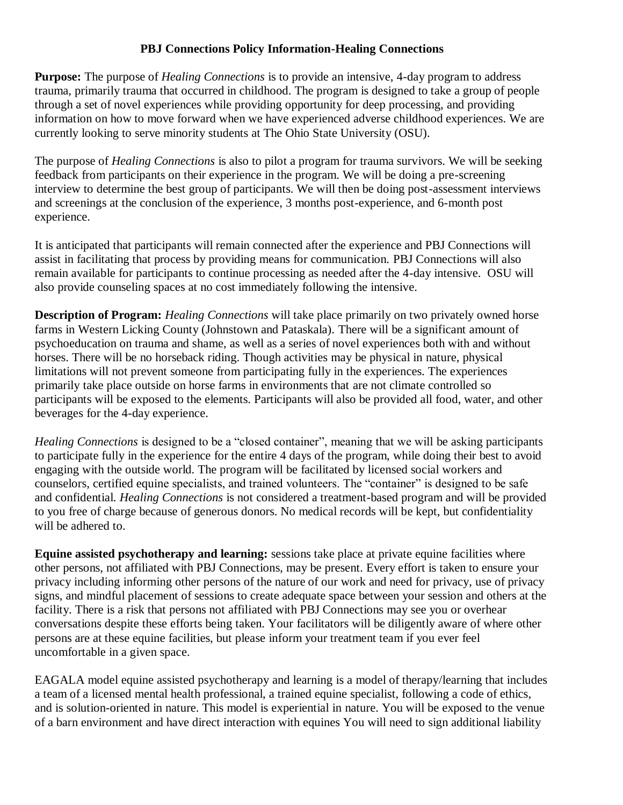## **PBJ Connections Policy Information-Healing Connections**

**Purpose:** The purpose of *Healing Connections* is to provide an intensive, 4-day program to address trauma, primarily trauma that occurred in childhood. The program is designed to take a group of people through a set of novel experiences while providing opportunity for deep processing, and providing information on how to move forward when we have experienced adverse childhood experiences. We are currently looking to serve minority students at The Ohio State University (OSU).

The purpose of *Healing Connections* is also to pilot a program for trauma survivors. We will be seeking feedback from participants on their experience in the program. We will be doing a pre-screening interview to determine the best group of participants. We will then be doing post-assessment interviews and screenings at the conclusion of the experience, 3 months post-experience, and 6-month post experience.

It is anticipated that participants will remain connected after the experience and PBJ Connections will assist in facilitating that process by providing means for communication. PBJ Connections will also remain available for participants to continue processing as needed after the 4-day intensive. OSU will also provide counseling spaces at no cost immediately following the intensive.

**Description of Program:** *Healing Connections* will take place primarily on two privately owned horse farms in Western Licking County (Johnstown and Pataskala). There will be a significant amount of psychoeducation on trauma and shame, as well as a series of novel experiences both with and without horses. There will be no horseback riding. Though activities may be physical in nature, physical limitations will not prevent someone from participating fully in the experiences. The experiences primarily take place outside on horse farms in environments that are not climate controlled so participants will be exposed to the elements. Participants will also be provided all food, water, and other beverages for the 4-day experience.

*Healing Connections* is designed to be a "closed container", meaning that we will be asking participants to participate fully in the experience for the entire 4 days of the program, while doing their best to avoid engaging with the outside world. The program will be facilitated by licensed social workers and counselors, certified equine specialists, and trained volunteers. The "container" is designed to be safe and confidential. *Healing Connections* is not considered a treatment-based program and will be provided to you free of charge because of generous donors. No medical records will be kept, but confidentiality will be adhered to.

**Equine assisted psychotherapy and learning:** sessions take place at private equine facilities where other persons, not affiliated with PBJ Connections, may be present. Every effort is taken to ensure your privacy including informing other persons of the nature of our work and need for privacy, use of privacy signs, and mindful placement of sessions to create adequate space between your session and others at the facility. There is a risk that persons not affiliated with PBJ Connections may see you or overhear conversations despite these efforts being taken. Your facilitators will be diligently aware of where other persons are at these equine facilities, but please inform your treatment team if you ever feel uncomfortable in a given space.

EAGALA model equine assisted psychotherapy and learning is a model of therapy/learning that includes a team of a licensed mental health professional, a trained equine specialist, following a code of ethics, and is solution-oriented in nature. This model is experiential in nature. You will be exposed to the venue of a barn environment and have direct interaction with equines You will need to sign additional liability